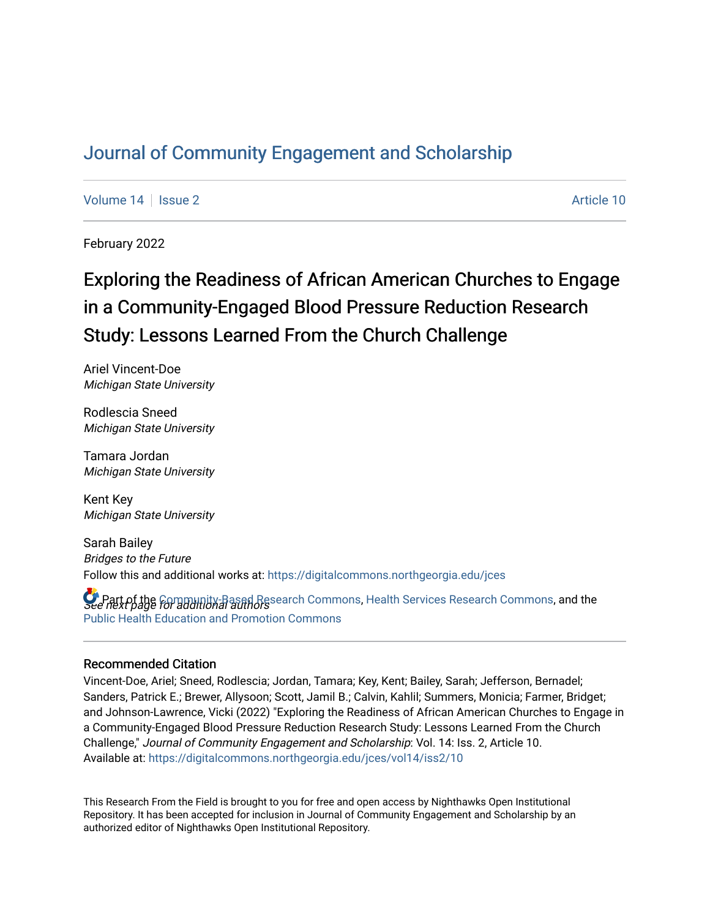# [Journal of Community Engagement and Scholarship](https://digitalcommons.northgeorgia.edu/jces)

[Volume 14](https://digitalcommons.northgeorgia.edu/jces/vol14) | [Issue 2](https://digitalcommons.northgeorgia.edu/jces/vol14/iss2) Article 10

February 2022

# Exploring the Readiness of African American Churches to Engage in a Community-Engaged Blood Pressure Reduction Research Study: Lessons Learned From the Church Challenge

Ariel Vincent-Doe Michigan State University

Rodlescia Sneed Michigan State University

Tamara Jordan Michigan State University

Kent Key Michigan State University

Sarah Bailey Bridges to the Future Follow this and additional works at: [https://digitalcommons.northgeorgia.edu/jces](https://digitalcommons.northgeorgia.edu/jces?utm_source=digitalcommons.northgeorgia.edu%2Fjces%2Fvol14%2Fiss2%2F10&utm_medium=PDF&utm_campaign=PDFCoverPages)

**C** Part of the [Community-Based Research Commons](https://network.bepress.com/hgg/discipline/1047?utm_source=digitalcommons.northgeorgia.edu%2Fjces%2Fvol14%2Fiss2%2F10&utm_medium=PDF&utm_campaign=PDFCoverPages), [Health Services Research Commons](https://network.bepress.com/hgg/discipline/816?utm_source=digitalcommons.northgeorgia.edu%2Fjces%2Fvol14%2Fiss2%2F10&utm_medium=PDF&utm_campaign=PDFCoverPages), and the<br>See next page for additional authors [Public Health Education and Promotion Commons](https://network.bepress.com/hgg/discipline/743?utm_source=digitalcommons.northgeorgia.edu%2Fjces%2Fvol14%2Fiss2%2F10&utm_medium=PDF&utm_campaign=PDFCoverPages) 

### Recommended Citation

Vincent-Doe, Ariel; Sneed, Rodlescia; Jordan, Tamara; Key, Kent; Bailey, Sarah; Jefferson, Bernadel; Sanders, Patrick E.; Brewer, Allysoon; Scott, Jamil B.; Calvin, Kahlil; Summers, Monicia; Farmer, Bridget; and Johnson-Lawrence, Vicki (2022) "Exploring the Readiness of African American Churches to Engage in a Community-Engaged Blood Pressure Reduction Research Study: Lessons Learned From the Church Challenge," Journal of Community Engagement and Scholarship: Vol. 14: Iss. 2, Article 10. Available at: [https://digitalcommons.northgeorgia.edu/jces/vol14/iss2/10](https://digitalcommons.northgeorgia.edu/jces/vol14/iss2/10?utm_source=digitalcommons.northgeorgia.edu%2Fjces%2Fvol14%2Fiss2%2F10&utm_medium=PDF&utm_campaign=PDFCoverPages) 

This Research From the Field is brought to you for free and open access by Nighthawks Open Institutional Repository. It has been accepted for inclusion in Journal of Community Engagement and Scholarship by an authorized editor of Nighthawks Open Institutional Repository.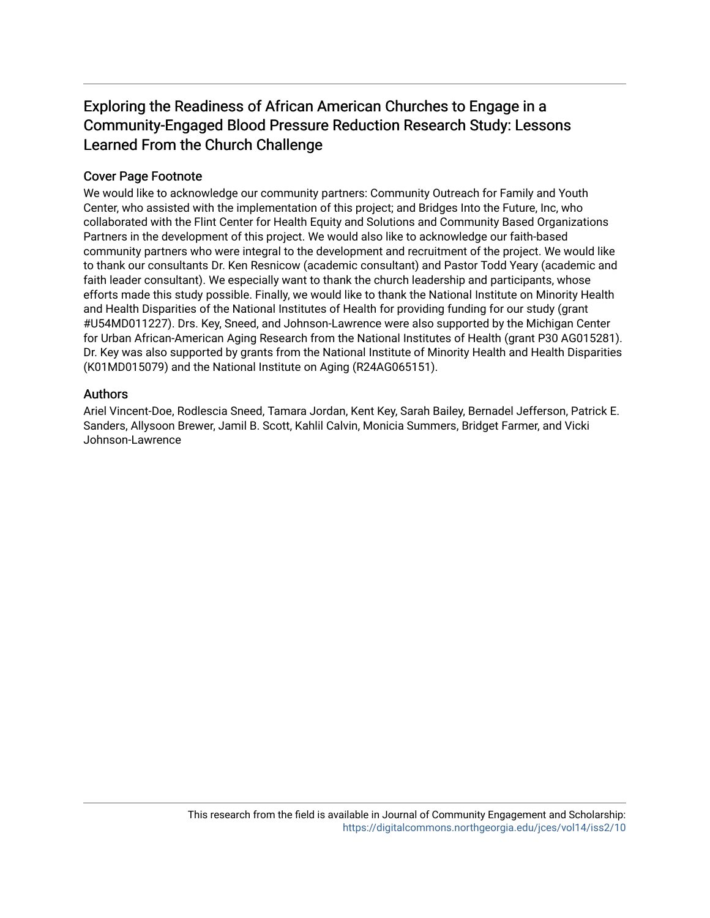# Exploring the Readiness of African American Churches to Engage in a Community-Engaged Blood Pressure Reduction Research Study: Lessons Learned From the Church Challenge

# Cover Page Footnote

We would like to acknowledge our community partners: Community Outreach for Family and Youth Center, who assisted with the implementation of this project; and Bridges Into the Future, Inc, who collaborated with the Flint Center for Health Equity and Solutions and Community Based Organizations Partners in the development of this project. We would also like to acknowledge our faith-based community partners who were integral to the development and recruitment of the project. We would like to thank our consultants Dr. Ken Resnicow (academic consultant) and Pastor Todd Yeary (academic and faith leader consultant). We especially want to thank the church leadership and participants, whose efforts made this study possible. Finally, we would like to thank the National Institute on Minority Health and Health Disparities of the National Institutes of Health for providing funding for our study (grant #U54MD011227). Drs. Key, Sneed, and Johnson-Lawrence were also supported by the Michigan Center for Urban African-American Aging Research from the National Institutes of Health (grant P30 AG015281). Dr. Key was also supported by grants from the National Institute of Minority Health and Health Disparities (K01MD015079) and the National Institute on Aging (R24AG065151).

## Authors

Ariel Vincent-Doe, Rodlescia Sneed, Tamara Jordan, Kent Key, Sarah Bailey, Bernadel Jefferson, Patrick E. Sanders, Allysoon Brewer, Jamil B. Scott, Kahlil Calvin, Monicia Summers, Bridget Farmer, and Vicki Johnson-Lawrence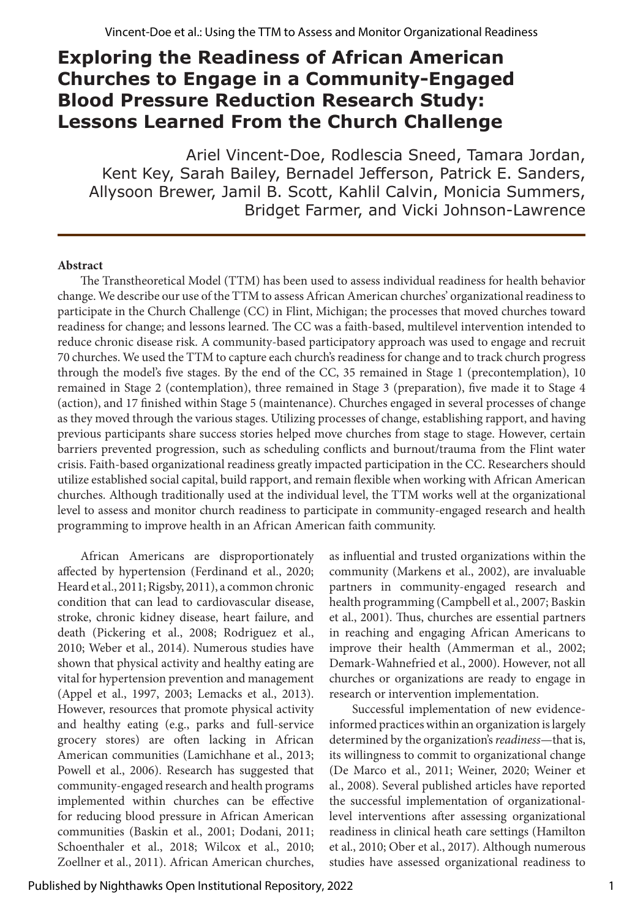# **Exploring the Readiness of African American Churches to Engage in a Community-Engaged Blood Pressure Reduction Research Study: Lessons Learned From the Church Challenge**

Ariel Vincent-Doe, Rodlescia Sneed, Tamara Jordan, Kent Key, Sarah Bailey, Bernadel Jefferson, Patrick E. Sanders, Allysoon Brewer, Jamil B. Scott, Kahlil Calvin, Monicia Summers, Bridget Farmer, and Vicki Johnson-Lawrence

### **Abstract**

The Transtheoretical Model (TTM) has been used to assess individual readiness for health behavior change. We describe our use of the TTM to assess African American churches' organizational readiness to participate in the Church Challenge (CC) in Flint, Michigan; the processes that moved churches toward readiness for change; and lessons learned. The CC was a faith-based, multilevel intervention intended to reduce chronic disease risk. A community-based participatory approach was used to engage and recruit 70 churches. We used the TTM to capture each church's readiness for change and to track church progress through the model's five stages. By the end of the CC, 35 remained in Stage 1 (precontemplation), 10 remained in Stage 2 (contemplation), three remained in Stage 3 (preparation), five made it to Stage 4 (action), and 17 finished within Stage 5 (maintenance). Churches engaged in several processes of change as they moved through the various stages. Utilizing processes of change, establishing rapport, and having previous participants share success stories helped move churches from stage to stage. However, certain barriers prevented progression, such as scheduling conflicts and burnout/trauma from the Flint water crisis. Faith-based organizational readiness greatly impacted participation in the CC. Researchers should utilize established social capital, build rapport, and remain flexible when working with African American churches. Although traditionally used at the individual level, the TTM works well at the organizational level to assess and monitor church readiness to participate in community-engaged research and health programming to improve health in an African American faith community.

African Americans are disproportionately affected by hypertension (Ferdinand et al., 2020; Heard et al., 2011; Rigsby, 2011), a common chronic condition that can lead to cardiovascular disease, stroke, chronic kidney disease, heart failure, and death (Pickering et al., 2008; Rodriguez et al., 2010; Weber et al., 2014). Numerous studies have shown that physical activity and healthy eating are vital for hypertension prevention and management (Appel et al., 1997, 2003; Lemacks et al., 2013). However, resources that promote physical activity and healthy eating (e.g., parks and full-service grocery stores) are often lacking in African American communities (Lamichhane et al., 2013; Powell et al., 2006). Research has suggested that community-engaged research and health programs implemented within churches can be effective for reducing blood pressure in African American communities (Baskin et al., 2001; Dodani, 2011; Schoenthaler et al., 2018; Wilcox et al., 2010; Zoellner et al., 2011). African American churches,

as influential and trusted organizations within the community (Markens et al., 2002), are invaluable partners in community-engaged research and health programming (Campbell et al., 2007; Baskin et al., 2001). Thus, churches are essential partners in reaching and engaging African Americans to improve their health (Ammerman et al., 2002; Demark-Wahnefried et al., 2000). However, not all churches or organizations are ready to engage in research or intervention implementation.

Successful implementation of new evidenceinformed practices within an organization is largely determined by the organization's *readiness*—that is, its willingness to commit to organizational change (De Marco et al., 2011; Weiner, 2020; Weiner et al., 2008). Several published articles have reported the successful implementation of organizationallevel interventions after assessing organizational readiness in clinical heath care settings (Hamilton et al., 2010; Ober et al., 2017). Although numerous studies have assessed organizational readiness to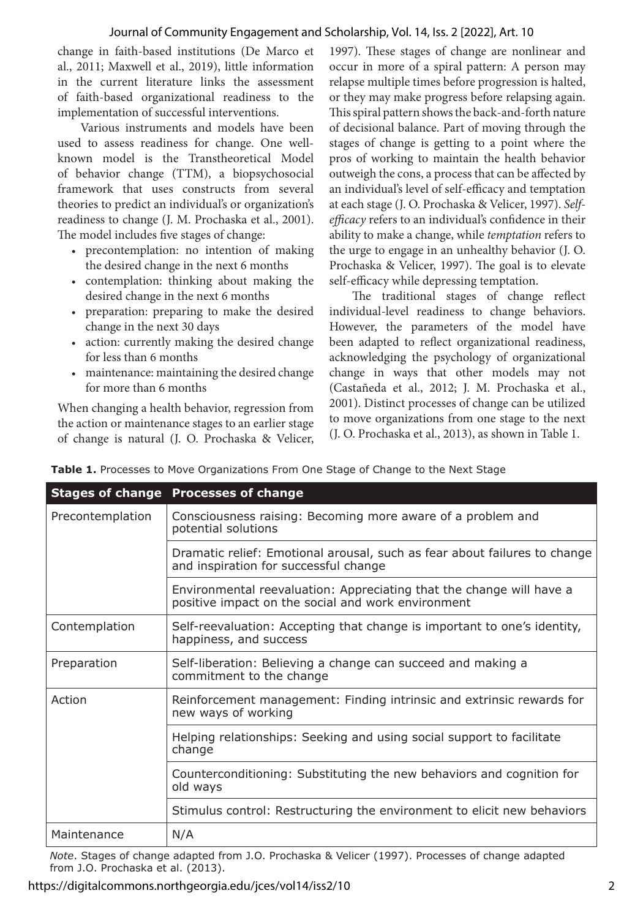change in faith-based institutions (De Marco et al., 2011; Maxwell et al., 2019), little information in the current literature links the assessment of faith-based organizational readiness to the implementation of successful interventions.

Various instruments and models have been used to assess readiness for change. One wellknown model is the Transtheoretical Model of behavior change (TTM), a biopsychosocial framework that uses constructs from several theories to predict an individual's or organization's readiness to change (J. M. Prochaska et al., 2001). The model includes five stages of change:

- precontemplation: no intention of making the desired change in the next 6 months
- contemplation: thinking about making the desired change in the next 6 months
- preparation: preparing to make the desired change in the next 30 days
- action: currently making the desired change for less than 6 months
- maintenance: maintaining the desired change for more than 6 months

When changing a health behavior, regression from the action or maintenance stages to an earlier stage of change is natural (J. O. Prochaska & Velicer,

1997). These stages of change are nonlinear and occur in more of a spiral pattern: A person may relapse multiple times before progression is halted, or they may make progress before relapsing again. This spiral pattern shows the back-and-forth nature of decisional balance. Part of moving through the stages of change is getting to a point where the pros of working to maintain the health behavior outweigh the cons, a process that can be affected by an individual's level of self-efficacy and temptation at each stage (J. O. Prochaska & Velicer, 1997). *Selfefficacy* refers to an individual's confidence in their ability to make a change, while *temptation* refers to the urge to engage in an unhealthy behavior (J. O. Prochaska & Velicer, 1997). The goal is to elevate self-efficacy while depressing temptation.

The traditional stages of change reflect individual-level readiness to change behaviors. However, the parameters of the model have been adapted to reflect organizational readiness, acknowledging the psychology of organizational change in ways that other models may not (Castañeda et al., 2012; J. M. Prochaska et al., 2001). Distinct processes of change can be utilized to move organizations from one stage to the next (J. O. Prochaska et al., 2013), as shown in Table 1.

|  | Table 1. Processes to Move Organizations From One Stage of Change to the Next Stage |  |  |
|--|-------------------------------------------------------------------------------------|--|--|
|  |                                                                                     |  |  |

|                  | <b>Stages of change Processes of change</b>                                                                                |  |  |
|------------------|----------------------------------------------------------------------------------------------------------------------------|--|--|
| Precontemplation | Consciousness raising: Becoming more aware of a problem and<br>potential solutions                                         |  |  |
|                  | Dramatic relief: Emotional arousal, such as fear about failures to change<br>and inspiration for successful change         |  |  |
|                  | Environmental reevaluation: Appreciating that the change will have a<br>positive impact on the social and work environment |  |  |
| Contemplation    | Self-reevaluation: Accepting that change is important to one's identity,<br>happiness, and success                         |  |  |
| Preparation      | Self-liberation: Believing a change can succeed and making a<br>commitment to the change                                   |  |  |
| Action           | Reinforcement management: Finding intrinsic and extrinsic rewards for<br>new ways of working                               |  |  |
|                  | Helping relationships: Seeking and using social support to facilitate<br>change                                            |  |  |
|                  | Counterconditioning: Substituting the new behaviors and cognition for<br>old ways                                          |  |  |
|                  | Stimulus control: Restructuring the environment to elicit new behaviors                                                    |  |  |
| Maintenance      | N/A                                                                                                                        |  |  |

*Note*. Stages of change adapted from J.O. Prochaska & Velicer (1997). Processes of change adapted from J.O. Prochaska et al. (2013).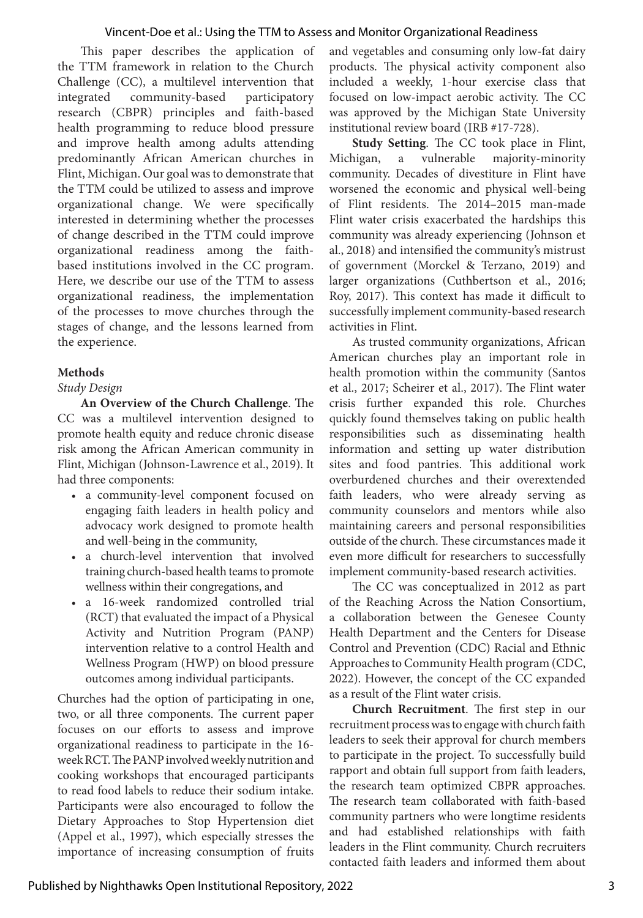This paper describes the application of the TTM framework in relation to the Church Challenge (CC), a multilevel intervention that integrated community-based participatory research (CBPR) principles and faith-based health programming to reduce blood pressure and improve health among adults attending predominantly African American churches in Flint, Michigan. Our goal was to demonstrate that the TTM could be utilized to assess and improve organizational change. We were specifically interested in determining whether the processes of change described in the TTM could improve organizational readiness among the faithbased institutions involved in the CC program. Here, we describe our use of the TTM to assess organizational readiness, the implementation of the processes to move churches through the stages of change, and the lessons learned from the experience.

#### **Methods**

#### *Study Design*

**An Overview of the Church Challenge**. The CC was a multilevel intervention designed to promote health equity and reduce chronic disease risk among the African American community in Flint, Michigan (Johnson-Lawrence et al., 2019). It had three components:

- a community-level component focused on engaging faith leaders in health policy and advocacy work designed to promote health and well-being in the community,
- a church-level intervention that involved training church-based health teams to promote wellness within their congregations, and
- a 16-week randomized controlled trial (RCT) that evaluated the impact of a Physical Activity and Nutrition Program (PANP) intervention relative to a control Health and Wellness Program (HWP) on blood pressure outcomes among individual participants.

Churches had the option of participating in one, two, or all three components. The current paper focuses on our efforts to assess and improve organizational readiness to participate in the 16 week RCT. The PANP involved weekly nutrition and cooking workshops that encouraged participants to read food labels to reduce their sodium intake. Participants were also encouraged to follow the Dietary Approaches to Stop Hypertension diet (Appel et al., 1997), which especially stresses the importance of increasing consumption of fruits and vegetables and consuming only low-fat dairy products. The physical activity component also included a weekly, 1-hour exercise class that focused on low-impact aerobic activity. The CC was approved by the Michigan State University institutional review board (IRB #17-728).

**Study Setting**. The CC took place in Flint, Michigan, a vulnerable majority-minority community. Decades of divestiture in Flint have worsened the economic and physical well-being of Flint residents. The 2014–2015 man-made Flint water crisis exacerbated the hardships this community was already experiencing (Johnson et al., 2018) and intensified the community's mistrust of government (Morckel & Terzano, 2019) and larger organizations (Cuthbertson et al., 2016; Roy, 2017). This context has made it difficult to successfully implement community-based research activities in Flint.

As trusted community organizations, African American churches play an important role in health promotion within the community (Santos et al., 2017; Scheirer et al., 2017). The Flint water crisis further expanded this role. Churches quickly found themselves taking on public health responsibilities such as disseminating health information and setting up water distribution sites and food pantries. This additional work overburdened churches and their overextended faith leaders, who were already serving as community counselors and mentors while also maintaining careers and personal responsibilities outside of the church. These circumstances made it even more difficult for researchers to successfully implement community-based research activities.

The CC was conceptualized in 2012 as part of the Reaching Across the Nation Consortium, a collaboration between the Genesee County Health Department and the Centers for Disease Control and Prevention (CDC) Racial and Ethnic Approaches to Community Health program (CDC, 2022). However, the concept of the CC expanded as a result of the Flint water crisis.

**Church Recruitment**. The first step in our recruitment process was to engage with church faith leaders to seek their approval for church members to participate in the project. To successfully build rapport and obtain full support from faith leaders, the research team optimized CBPR approaches. The research team collaborated with faith-based community partners who were longtime residents and had established relationships with faith leaders in the Flint community. Church recruiters contacted faith leaders and informed them about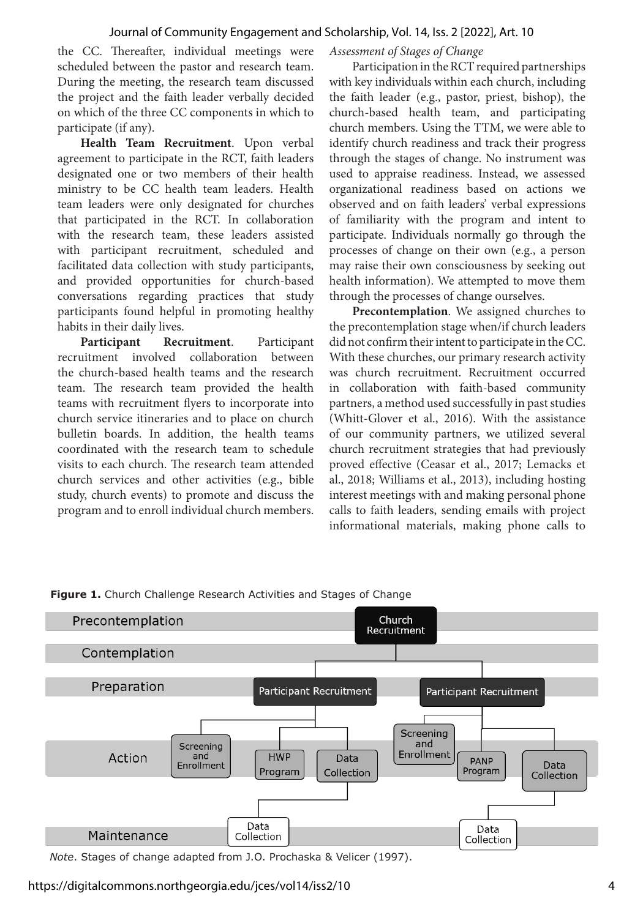the CC. Thereafter, individual meetings were scheduled between the pastor and research team. During the meeting, the research team discussed the project and the faith leader verbally decided on which of the three CC components in which to participate (if any).

**Health Team Recruitment**. Upon verbal agreement to participate in the RCT, faith leaders designated one or two members of their health ministry to be CC health team leaders. Health team leaders were only designated for churches that participated in the RCT. In collaboration with the research team, these leaders assisted with participant recruitment, scheduled and facilitated data collection with study participants, and provided opportunities for church-based conversations regarding practices that study participants found helpful in promoting healthy habits in their daily lives.

**Participant Recruitment**. Participant recruitment involved collaboration between the church-based health teams and the research team. The research team provided the health teams with recruitment flyers to incorporate into church service itineraries and to place on church bulletin boards. In addition, the health teams coordinated with the research team to schedule visits to each church. The research team attended church services and other activities (e.g., bible study, church events) to promote and discuss the program and to enroll individual church members.

*Assessment of Stages of Change*

Participation in the RCT required partnerships with key individuals within each church, including the faith leader (e.g., pastor, priest, bishop), the church-based health team, and participating church members. Using the TTM, we were able to identify church readiness and track their progress through the stages of change. No instrument was used to appraise readiness. Instead, we assessed organizational readiness based on actions we observed and on faith leaders' verbal expressions of familiarity with the program and intent to participate. Individuals normally go through the processes of change on their own (e.g., a person may raise their own consciousness by seeking out health information). We attempted to move them through the processes of change ourselves.

**Precontemplation**. We assigned churches to the precontemplation stage when/if church leaders did not confirm their intent to participate in the CC. With these churches, our primary research activity was church recruitment. Recruitment occurred in collaboration with faith-based community partners, a method used successfully in past studies (Whitt-Glover et al., 2016). With the assistance of our community partners, we utilized several church recruitment strategies that had previously proved effective (Ceasar et al., 2017; Lemacks et al., 2018; Williams et al., 2013), including hosting interest meetings with and making personal phone calls to faith leaders, sending emails with project informational materials, making phone calls to



**Figure 1.** Church Challenge Research Activities and Stages of Change

*Note*. Stages of change adapted from J.O. Prochaska & Velicer (1997).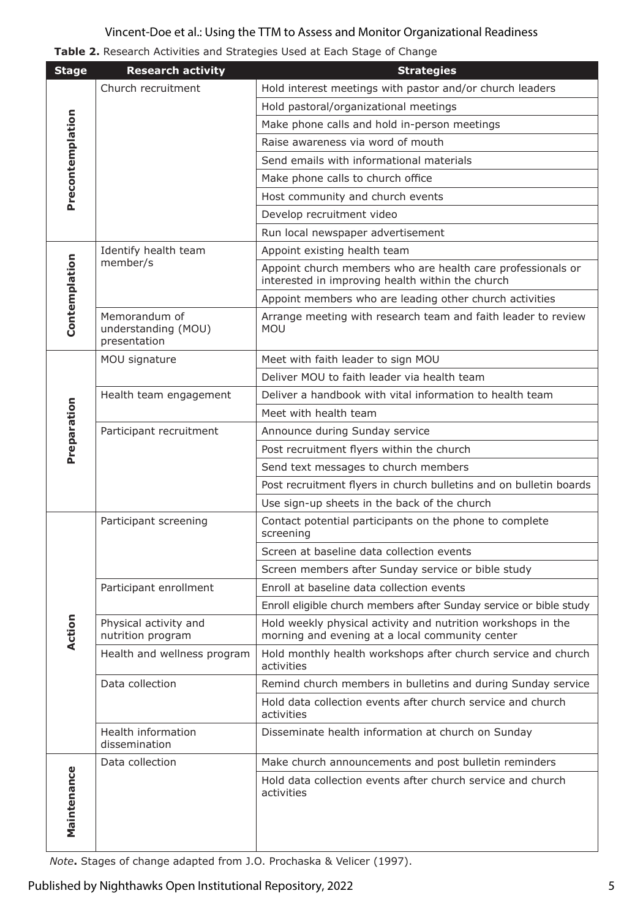| Table 2. Research Activities and Strategies Used at Each Stage of Change |  |  |  |
|--------------------------------------------------------------------------|--|--|--|
|--------------------------------------------------------------------------|--|--|--|

| <b>Stage</b>     | <b>Research activity</b>                             | <b>Strategies</b>                                                                                               |  |  |
|------------------|------------------------------------------------------|-----------------------------------------------------------------------------------------------------------------|--|--|
|                  | Church recruitment                                   | Hold interest meetings with pastor and/or church leaders                                                        |  |  |
| Precontemplation |                                                      | Hold pastoral/organizational meetings                                                                           |  |  |
|                  |                                                      | Make phone calls and hold in-person meetings                                                                    |  |  |
|                  |                                                      | Raise awareness via word of mouth                                                                               |  |  |
|                  |                                                      | Send emails with informational materials                                                                        |  |  |
|                  |                                                      | Make phone calls to church office                                                                               |  |  |
|                  |                                                      | Host community and church events                                                                                |  |  |
|                  |                                                      | Develop recruitment video                                                                                       |  |  |
|                  |                                                      | Run local newspaper advertisement                                                                               |  |  |
|                  | Identify health team<br>member/s                     | Appoint existing health team                                                                                    |  |  |
| Contemplation    |                                                      | Appoint church members who are health care professionals or<br>interested in improving health within the church |  |  |
|                  |                                                      | Appoint members who are leading other church activities                                                         |  |  |
|                  | Memorandum of<br>understanding (MOU)<br>presentation | Arrange meeting with research team and faith leader to review<br><b>MOU</b>                                     |  |  |
|                  | MOU signature                                        | Meet with faith leader to sign MOU                                                                              |  |  |
|                  |                                                      | Deliver MOU to faith leader via health team                                                                     |  |  |
|                  | Health team engagement                               | Deliver a handbook with vital information to health team                                                        |  |  |
|                  |                                                      | Meet with health team                                                                                           |  |  |
|                  | Participant recruitment                              | Announce during Sunday service                                                                                  |  |  |
| Preparation      |                                                      | Post recruitment flyers within the church                                                                       |  |  |
|                  |                                                      | Send text messages to church members                                                                            |  |  |
|                  |                                                      | Post recruitment flyers in church bulletins and on bulletin boards                                              |  |  |
|                  |                                                      | Use sign-up sheets in the back of the church                                                                    |  |  |
|                  | Participant screening                                | Contact potential participants on the phone to complete<br>screening                                            |  |  |
|                  |                                                      | Screen at baseline data collection events                                                                       |  |  |
|                  |                                                      | Screen members after Sunday service or bible study                                                              |  |  |
|                  | Participant enrollment                               | Enroll at baseline data collection events                                                                       |  |  |
|                  |                                                      | Enroll eligible church members after Sunday service or bible study                                              |  |  |
| don<br>ই         | Physical activity and<br>nutrition program           | Hold weekly physical activity and nutrition workshops in the<br>morning and evening at a local community center |  |  |
|                  | Health and wellness program                          | Hold monthly health workshops after church service and church<br>activities                                     |  |  |
|                  | Data collection                                      | Remind church members in bulletins and during Sunday service                                                    |  |  |
|                  |                                                      | Hold data collection events after church service and church<br>activities                                       |  |  |
|                  | Health information<br>dissemination                  | Disseminate health information at church on Sunday                                                              |  |  |
|                  | Data collection                                      | Make church announcements and post bulletin reminders                                                           |  |  |
| Maintenance      |                                                      | Hold data collection events after church service and church<br>activities                                       |  |  |

*Note***.** Stages of change adapted from J.O. Prochaska & Velicer (1997).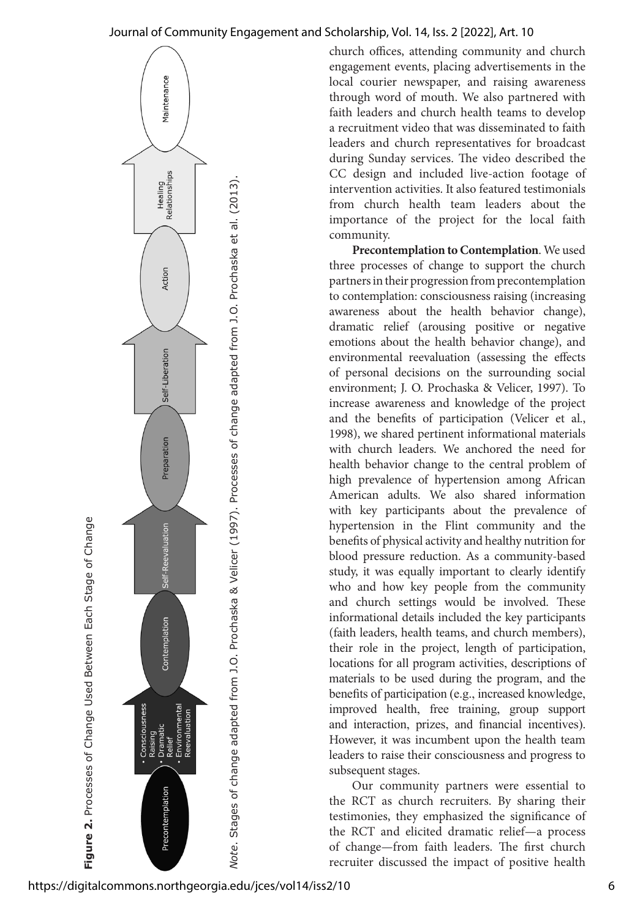

**Figure 2.** Processes of Change Used Between Each Stage of Change

Figure 2. Processes of Change Used Between Each Stage of Change

church offices, attending community and church engagement events, placing advertisements in the local courier newspaper, and raising awareness through word of mouth. We also partnered with faith leaders and church health teams to develop a recruitment video that was disseminated to faith leaders and church representatives for broadcast during Sunday services. The video described the CC design and included live-action footage of intervention activities. It also featured testimonials from church health team leaders about the importance of the project for the local faith community.

**Precontemplation to Contemplation**. We used three processes of change to support the church partners in their progression from precontemplation to contemplation: consciousness raising (increasing awareness about the health behavior change), dramatic relief (arousing positive or negative emotions about the health behavior change), and environmental reevaluation (assessing the effects of personal decisions on the surrounding social environment; J. O. Prochaska & Velicer, 1997). To increase awareness and knowledge of the project and the benefits of participation (Velicer et al., 1998), we shared pertinent informational materials with church leaders. We anchored the need for health behavior change to the central problem of high prevalence of hypertension among African American adults. We also shared information with key participants about the prevalence of hypertension in the Flint community and the benefits of physical activity and healthy nutrition for blood pressure reduction. As a community-based study, it was equally important to clearly identify who and how key people from the community and church settings would be involved. These informational details included the key participants (faith leaders, health teams, and church members), their role in the project, length of participation, locations for all program activities, descriptions of materials to be used during the program, and the benefits of participation (e.g., increased knowledge, improved health, free training, group support and interaction, prizes, and financial incentives). However, it was incumbent upon the health team leaders to raise their consciousness and progress to subsequent stages.

Our community partners were essential to the RCT as church recruiters. By sharing their testimonies, they emphasized the significance of the RCT and elicited dramatic relief—a process of change—from faith leaders. The first church recruiter discussed the impact of positive health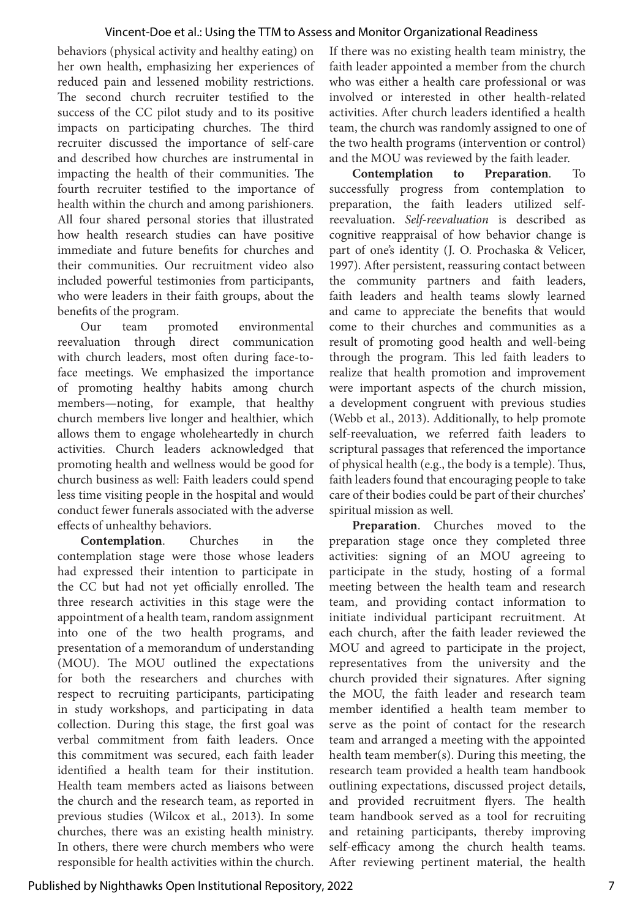behaviors (physical activity and healthy eating) on her own health, emphasizing her experiences of reduced pain and lessened mobility restrictions. The second church recruiter testified to the success of the CC pilot study and to its positive impacts on participating churches. The third recruiter discussed the importance of self-care and described how churches are instrumental in impacting the health of their communities. The fourth recruiter testified to the importance of health within the church and among parishioners. All four shared personal stories that illustrated how health research studies can have positive immediate and future benefits for churches and their communities. Our recruitment video also included powerful testimonies from participants, who were leaders in their faith groups, about the benefits of the program.

Our team promoted environmental reevaluation through direct communication with church leaders, most often during face-toface meetings. We emphasized the importance of promoting healthy habits among church members—noting, for example, that healthy church members live longer and healthier, which allows them to engage wholeheartedly in church activities. Church leaders acknowledged that promoting health and wellness would be good for church business as well: Faith leaders could spend less time visiting people in the hospital and would conduct fewer funerals associated with the adverse effects of unhealthy behaviors.

**Contemplation**. Churches in the contemplation stage were those whose leaders had expressed their intention to participate in the CC but had not yet officially enrolled. The three research activities in this stage were the appointment of a health team, random assignment into one of the two health programs, and presentation of a memorandum of understanding (MOU). The MOU outlined the expectations for both the researchers and churches with respect to recruiting participants, participating in study workshops, and participating in data collection. During this stage, the first goal was verbal commitment from faith leaders. Once this commitment was secured, each faith leader identified a health team for their institution. Health team members acted as liaisons between the church and the research team, as reported in previous studies (Wilcox et al., 2013). In some churches, there was an existing health ministry. In others, there were church members who were responsible for health activities within the church.

If there was no existing health team ministry, the faith leader appointed a member from the church who was either a health care professional or was involved or interested in other health-related activities. After church leaders identified a health team, the church was randomly assigned to one of the two health programs (intervention or control) and the MOU was reviewed by the faith leader.

**Contemplation to Preparation**. To successfully progress from contemplation to preparation, the faith leaders utilized selfreevaluation. *Self-reevaluation* is described as cognitive reappraisal of how behavior change is part of one's identity (J. O. Prochaska & Velicer, 1997). After persistent, reassuring contact between the community partners and faith leaders, faith leaders and health teams slowly learned and came to appreciate the benefits that would come to their churches and communities as a result of promoting good health and well-being through the program. This led faith leaders to realize that health promotion and improvement were important aspects of the church mission, a development congruent with previous studies (Webb et al., 2013). Additionally, to help promote self-reevaluation, we referred faith leaders to scriptural passages that referenced the importance of physical health (e.g., the body is a temple). Thus, faith leaders found that encouraging people to take care of their bodies could be part of their churches' spiritual mission as well.

**Preparation**. Churches moved to the preparation stage once they completed three activities: signing of an MOU agreeing to participate in the study, hosting of a formal meeting between the health team and research team, and providing contact information to initiate individual participant recruitment. At each church, after the faith leader reviewed the MOU and agreed to participate in the project, representatives from the university and the church provided their signatures. After signing the MOU, the faith leader and research team member identified a health team member to serve as the point of contact for the research team and arranged a meeting with the appointed health team member(s). During this meeting, the research team provided a health team handbook outlining expectations, discussed project details, and provided recruitment flyers. The health team handbook served as a tool for recruiting and retaining participants, thereby improving self-efficacy among the church health teams. After reviewing pertinent material, the health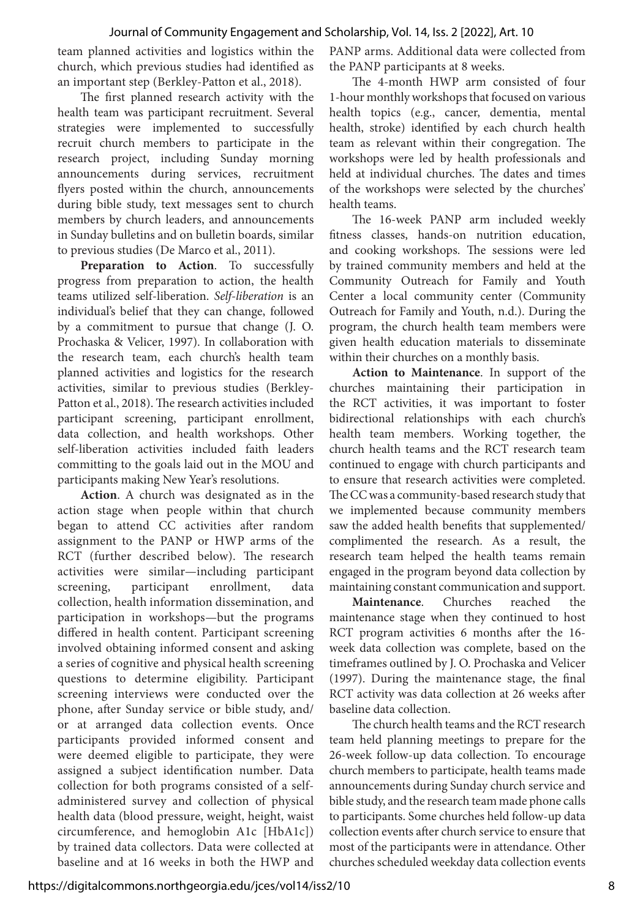team planned activities and logistics within the church, which previous studies had identified as an important step (Berkley-Patton et al., 2018).

The first planned research activity with the health team was participant recruitment. Several strategies were implemented to successfully recruit church members to participate in the research project, including Sunday morning announcements during services, recruitment flyers posted within the church, announcements during bible study, text messages sent to church members by church leaders, and announcements in Sunday bulletins and on bulletin boards, similar to previous studies (De Marco et al., 2011).

**Preparation to Action**. To successfully progress from preparation to action, the health teams utilized self-liberation. *Self-liberation* is an individual's belief that they can change, followed by a commitment to pursue that change (J. O. Prochaska & Velicer, 1997). In collaboration with the research team, each church's health team planned activities and logistics for the research activities, similar to previous studies (Berkley-Patton et al., 2018). The research activities included participant screening, participant enrollment, data collection, and health workshops. Other self-liberation activities included faith leaders committing to the goals laid out in the MOU and participants making New Year's resolutions.

**Action**. A church was designated as in the action stage when people within that church began to attend CC activities after random assignment to the PANP or HWP arms of the RCT (further described below). The research activities were similar—including participant screening, participant enrollment, data collection, health information dissemination, and participation in workshops—but the programs differed in health content. Participant screening involved obtaining informed consent and asking a series of cognitive and physical health screening questions to determine eligibility. Participant screening interviews were conducted over the phone, after Sunday service or bible study, and/ or at arranged data collection events. Once participants provided informed consent and were deemed eligible to participate, they were assigned a subject identification number. Data collection for both programs consisted of a selfadministered survey and collection of physical health data (blood pressure, weight, height, waist circumference, and hemoglobin A1c [HbA1c]) by trained data collectors. Data were collected at baseline and at 16 weeks in both the HWP and PANP arms. Additional data were collected from the PANP participants at 8 weeks.

The 4-month HWP arm consisted of four 1-hour monthly workshops that focused on various health topics (e.g., cancer, dementia, mental health, stroke) identified by each church health team as relevant within their congregation. The workshops were led by health professionals and held at individual churches. The dates and times of the workshops were selected by the churches' health teams.

The 16-week PANP arm included weekly fitness classes, hands-on nutrition education, and cooking workshops. The sessions were led by trained community members and held at the Community Outreach for Family and Youth Center a local community center (Community Outreach for Family and Youth, n.d.). During the program, the church health team members were given health education materials to disseminate within their churches on a monthly basis.

**Action to Maintenance**. In support of the churches maintaining their participation in the RCT activities, it was important to foster bidirectional relationships with each church's health team members. Working together, the church health teams and the RCT research team continued to engage with church participants and to ensure that research activities were completed. The CC was a community-based research study that we implemented because community members saw the added health benefits that supplemented/ complimented the research. As a result, the research team helped the health teams remain engaged in the program beyond data collection by maintaining constant communication and support.

**Maintenance**. Churches reached the maintenance stage when they continued to host RCT program activities 6 months after the 16 week data collection was complete, based on the timeframes outlined by J. O. Prochaska and Velicer (1997). During the maintenance stage, the final RCT activity was data collection at 26 weeks after baseline data collection.

The church health teams and the RCT research team held planning meetings to prepare for the 26-week follow-up data collection. To encourage church members to participate, health teams made announcements during Sunday church service and bible study, and the research team made phone calls to participants. Some churches held follow-up data collection events after church service to ensure that most of the participants were in attendance. Other churches scheduled weekday data collection events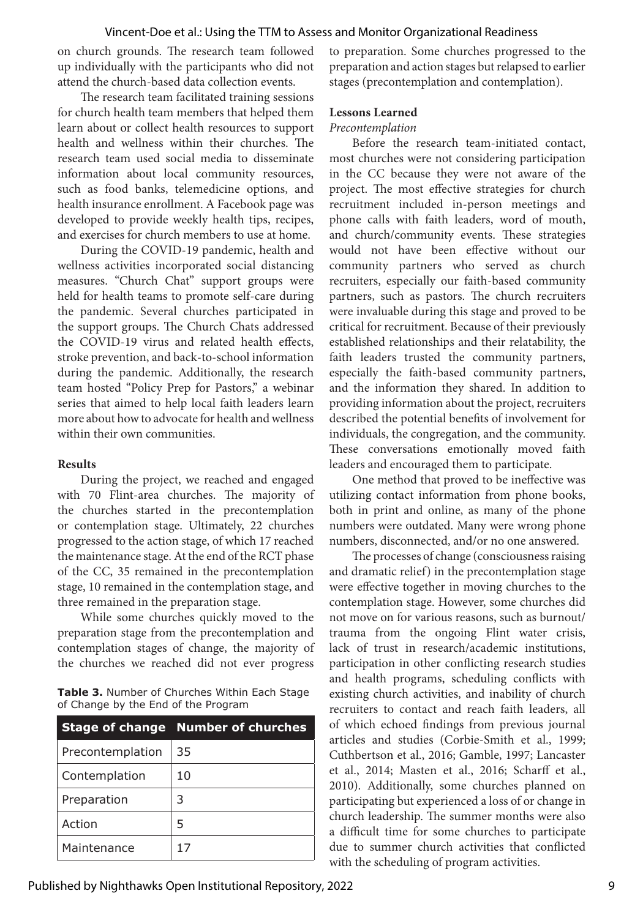on church grounds. The research team followed up individually with the participants who did not attend the church-based data collection events.

The research team facilitated training sessions for church health team members that helped them learn about or collect health resources to support health and wellness within their churches. The research team used social media to disseminate information about local community resources, such as food banks, telemedicine options, and health insurance enrollment. A Facebook page was developed to provide weekly health tips, recipes, and exercises for church members to use at home.

During the COVID-19 pandemic, health and wellness activities incorporated social distancing measures. "Church Chat" support groups were held for health teams to promote self-care during the pandemic. Several churches participated in the support groups. The Church Chats addressed the COVID-19 virus and related health effects, stroke prevention, and back-to-school information during the pandemic. Additionally, the research team hosted "Policy Prep for Pastors," a webinar series that aimed to help local faith leaders learn more about how to advocate for health and wellness within their own communities.

#### **Results**

During the project, we reached and engaged with 70 Flint-area churches. The majority of the churches started in the precontemplation or contemplation stage. Ultimately, 22 churches progressed to the action stage, of which 17 reached the maintenance stage. At the end of the RCT phase of the CC, 35 remained in the precontemplation stage, 10 remained in the contemplation stage, and three remained in the preparation stage.

While some churches quickly moved to the preparation stage from the precontemplation and contemplation stages of change, the majority of the churches we reached did not ever progress

**Table 3.** Number of Churches Within Each Stage of Change by the End of the Program

|                  | <b>Stage of change Number of churches</b> |
|------------------|-------------------------------------------|
| Precontemplation | 35                                        |
| Contemplation    | 10                                        |
| Preparation      | 3                                         |
| Action           | 5                                         |
| Maintenance      | 17                                        |

to preparation. Some churches progressed to the preparation and action stages but relapsed to earlier stages (precontemplation and contemplation).

#### **Lessons Learned**

#### *Precontemplation*

Before the research team-initiated contact, most churches were not considering participation in the CC because they were not aware of the project. The most effective strategies for church recruitment included in-person meetings and phone calls with faith leaders, word of mouth, and church/community events. These strategies would not have been effective without our community partners who served as church recruiters, especially our faith-based community partners, such as pastors. The church recruiters were invaluable during this stage and proved to be critical for recruitment. Because of their previously established relationships and their relatability, the faith leaders trusted the community partners, especially the faith-based community partners, and the information they shared. In addition to providing information about the project, recruiters described the potential benefits of involvement for individuals, the congregation, and the community. These conversations emotionally moved faith leaders and encouraged them to participate.

One method that proved to be ineffective was utilizing contact information from phone books, both in print and online, as many of the phone numbers were outdated. Many were wrong phone numbers, disconnected, and/or no one answered.

The processes of change (consciousness raising and dramatic relief) in the precontemplation stage were effective together in moving churches to the contemplation stage. However, some churches did not move on for various reasons, such as burnout/ trauma from the ongoing Flint water crisis, lack of trust in research/academic institutions, participation in other conflicting research studies and health programs, scheduling conflicts with existing church activities, and inability of church recruiters to contact and reach faith leaders, all of which echoed findings from previous journal articles and studies (Corbie-Smith et al., 1999; Cuthbertson et al., 2016; Gamble, 1997; Lancaster et al., 2014; Masten et al., 2016; Scharff et al., 2010). Additionally, some churches planned on participating but experienced a loss of or change in church leadership. The summer months were also a difficult time for some churches to participate due to summer church activities that conflicted with the scheduling of program activities.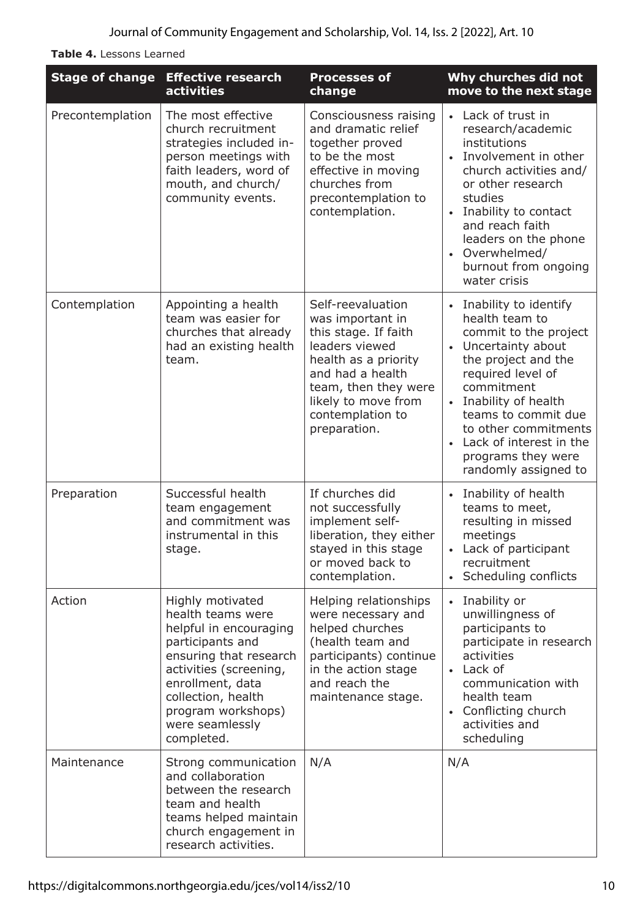**Table 4.** Lessons Learned

| <b>Stage of change</b> | <b>Effective research</b><br>activities                                                                                                                                                                                                  | <b>Processes of</b><br>change                                                                                                                                                                                  | Why churches did not<br>move to the next stage                                                                                                                                                                                                                                                         |
|------------------------|------------------------------------------------------------------------------------------------------------------------------------------------------------------------------------------------------------------------------------------|----------------------------------------------------------------------------------------------------------------------------------------------------------------------------------------------------------------|--------------------------------------------------------------------------------------------------------------------------------------------------------------------------------------------------------------------------------------------------------------------------------------------------------|
| Precontemplation       | The most effective<br>church recruitment<br>strategies included in-<br>person meetings with<br>faith leaders, word of<br>mouth, and church/<br>community events.                                                                         | Consciousness raising<br>and dramatic relief<br>together proved<br>to be the most<br>effective in moving<br>churches from<br>precontemplation to<br>contemplation.                                             | • Lack of trust in<br>research/academic<br>institutions<br>• Involvement in other<br>church activities and/<br>or other research<br>studies<br>Inability to contact<br>and reach faith<br>leaders on the phone<br>• Overwhelmed/<br>burnout from ongoing<br>water crisis                               |
| Contemplation          | Appointing a health<br>team was easier for<br>churches that already<br>had an existing health<br>team.                                                                                                                                   | Self-reevaluation<br>was important in<br>this stage. If faith<br>leaders viewed<br>health as a priority<br>and had a health<br>team, then they were<br>likely to move from<br>contemplation to<br>preparation. | • Inability to identify<br>health team to<br>commit to the project<br>• Uncertainty about<br>the project and the<br>required level of<br>commitment<br>• Inability of health<br>teams to commit due<br>to other commitments<br>• Lack of interest in the<br>programs they were<br>randomly assigned to |
| Preparation            | Successful health<br>team engagement<br>and commitment was<br>instrumental in this<br>stage.                                                                                                                                             | If churches did<br>not successfully<br>implement self-<br>liberation, they either<br>stayed in this stage<br>or moved back to<br>contemplation.                                                                | • Inability of health<br>teams to meet,<br>resulting in missed<br>meetings<br>Lack of participant<br>$\bullet$<br>recruitment<br>• Scheduling conflicts                                                                                                                                                |
| Action                 | Highly motivated<br>health teams were<br>helpful in encouraging<br>participants and<br>ensuring that research<br>activities (screening,<br>enrollment, data<br>collection, health<br>program workshops)<br>were seamlessly<br>completed. | Helping relationships<br>were necessary and<br>helped churches<br>(health team and<br>participants) continue<br>in the action stage<br>and reach the<br>maintenance stage.                                     | • Inability or<br>unwillingness of<br>participants to<br>participate in research<br>activities<br>• Lack of<br>communication with<br>health team<br>• Conflicting church<br>activities and<br>scheduling                                                                                               |
| Maintenance            | Strong communication<br>and collaboration<br>between the research<br>team and health<br>teams helped maintain<br>church engagement in<br>research activities.                                                                            | N/A                                                                                                                                                                                                            | N/A                                                                                                                                                                                                                                                                                                    |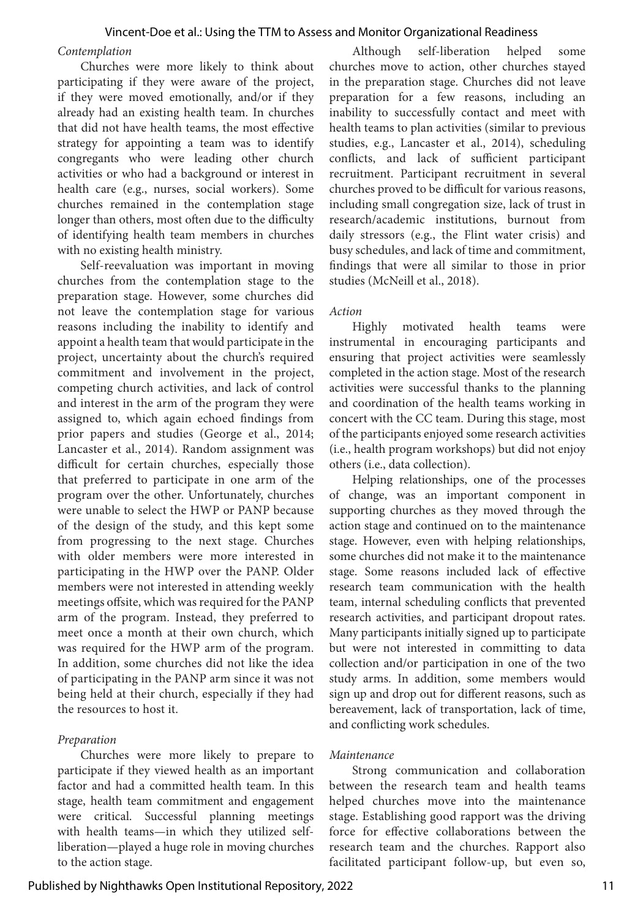#### *Contemplation*

Churches were more likely to think about participating if they were aware of the project, if they were moved emotionally, and/or if they already had an existing health team. In churches that did not have health teams, the most effective strategy for appointing a team was to identify congregants who were leading other church activities or who had a background or interest in health care (e.g., nurses, social workers). Some churches remained in the contemplation stage longer than others, most often due to the difficulty of identifying health team members in churches with no existing health ministry.

Self-reevaluation was important in moving churches from the contemplation stage to the preparation stage. However, some churches did not leave the contemplation stage for various reasons including the inability to identify and appoint a health team that would participate in the project, uncertainty about the church's required commitment and involvement in the project, competing church activities, and lack of control and interest in the arm of the program they were assigned to, which again echoed findings from prior papers and studies (George et al., 2014; Lancaster et al., 2014). Random assignment was difficult for certain churches, especially those that preferred to participate in one arm of the program over the other. Unfortunately, churches were unable to select the HWP or PANP because of the design of the study, and this kept some from progressing to the next stage. Churches with older members were more interested in participating in the HWP over the PANP. Older members were not interested in attending weekly meetings offsite, which was required for the PANP arm of the program. Instead, they preferred to meet once a month at their own church, which was required for the HWP arm of the program. In addition, some churches did not like the idea of participating in the PANP arm since it was not being held at their church, especially if they had the resources to host it.

#### *Preparation*

Churches were more likely to prepare to participate if they viewed health as an important factor and had a committed health team. In this stage, health team commitment and engagement were critical. Successful planning meetings with health teams—in which they utilized selfliberation—played a huge role in moving churches to the action stage.

Although self-liberation helped some churches move to action, other churches stayed in the preparation stage. Churches did not leave preparation for a few reasons, including an inability to successfully contact and meet with health teams to plan activities (similar to previous studies, e.g., Lancaster et al., 2014), scheduling conflicts, and lack of sufficient participant recruitment. Participant recruitment in several churches proved to be difficult for various reasons, including small congregation size, lack of trust in research/academic institutions, burnout from daily stressors (e.g., the Flint water crisis) and busy schedules, and lack of time and commitment, findings that were all similar to those in prior studies (McNeill et al., 2018).

#### *Action*

Highly motivated health teams were instrumental in encouraging participants and ensuring that project activities were seamlessly completed in the action stage. Most of the research activities were successful thanks to the planning and coordination of the health teams working in concert with the CC team. During this stage, most of the participants enjoyed some research activities (i.e., health program workshops) but did not enjoy others (i.e., data collection).

Helping relationships, one of the processes of change, was an important component in supporting churches as they moved through the action stage and continued on to the maintenance stage. However, even with helping relationships, some churches did not make it to the maintenance stage. Some reasons included lack of effective research team communication with the health team, internal scheduling conflicts that prevented research activities, and participant dropout rates. Many participants initially signed up to participate but were not interested in committing to data collection and/or participation in one of the two study arms. In addition, some members would sign up and drop out for different reasons, such as bereavement, lack of transportation, lack of time, and conflicting work schedules.

#### *Maintenance*

Strong communication and collaboration between the research team and health teams helped churches move into the maintenance stage. Establishing good rapport was the driving force for effective collaborations between the research team and the churches. Rapport also facilitated participant follow-up, but even so,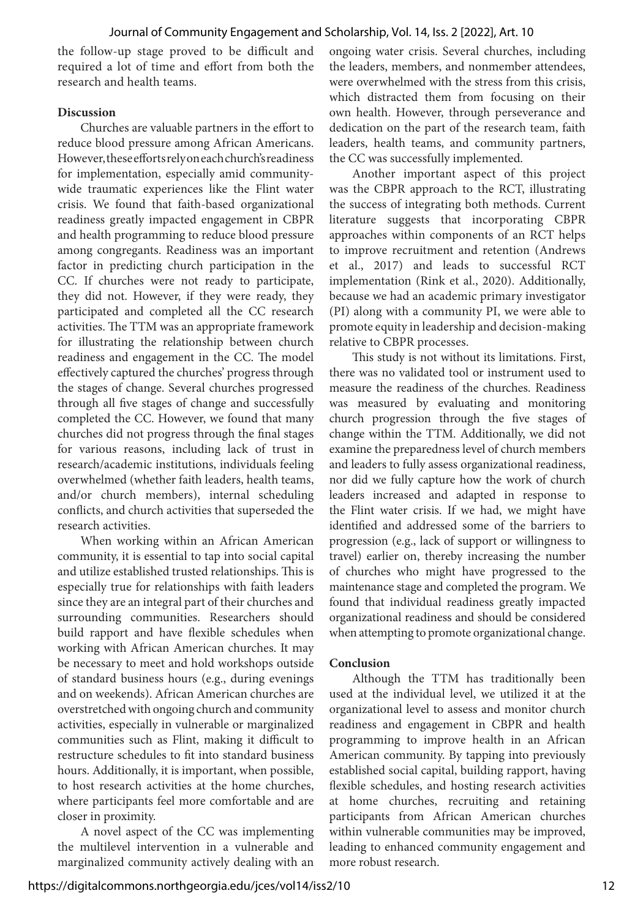the follow-up stage proved to be difficult and required a lot of time and effort from both the research and health teams.

#### **Discussion**

Churches are valuable partners in the effort to reduce blood pressure among African Americans. However, these efforts rely on each church's readiness for implementation, especially amid communitywide traumatic experiences like the Flint water crisis. We found that faith-based organizational readiness greatly impacted engagement in CBPR and health programming to reduce blood pressure among congregants. Readiness was an important factor in predicting church participation in the CC. If churches were not ready to participate, they did not. However, if they were ready, they participated and completed all the CC research activities. The TTM was an appropriate framework for illustrating the relationship between church readiness and engagement in the CC. The model effectively captured the churches' progress through the stages of change. Several churches progressed through all five stages of change and successfully completed the CC. However, we found that many churches did not progress through the final stages for various reasons, including lack of trust in research/academic institutions, individuals feeling overwhelmed (whether faith leaders, health teams, and/or church members), internal scheduling conflicts, and church activities that superseded the research activities.

When working within an African American community, it is essential to tap into social capital and utilize established trusted relationships. This is especially true for relationships with faith leaders since they are an integral part of their churches and surrounding communities. Researchers should build rapport and have flexible schedules when working with African American churches. It may be necessary to meet and hold workshops outside of standard business hours (e.g., during evenings and on weekends). African American churches are overstretched with ongoing church and community activities, especially in vulnerable or marginalized communities such as Flint, making it difficult to restructure schedules to fit into standard business hours. Additionally, it is important, when possible, to host research activities at the home churches, where participants feel more comfortable and are closer in proximity.

A novel aspect of the CC was implementing the multilevel intervention in a vulnerable and marginalized community actively dealing with an ongoing water crisis. Several churches, including the leaders, members, and nonmember attendees, were overwhelmed with the stress from this crisis, which distracted them from focusing on their own health. However, through perseverance and dedication on the part of the research team, faith leaders, health teams, and community partners, the CC was successfully implemented.

Another important aspect of this project was the CBPR approach to the RCT, illustrating the success of integrating both methods. Current literature suggests that incorporating CBPR approaches within components of an RCT helps to improve recruitment and retention (Andrews et al., 2017) and leads to successful RCT implementation (Rink et al., 2020). Additionally, because we had an academic primary investigator (PI) along with a community PI, we were able to promote equity in leadership and decision-making relative to CBPR processes.

This study is not without its limitations. First, there was no validated tool or instrument used to measure the readiness of the churches. Readiness was measured by evaluating and monitoring church progression through the five stages of change within the TTM. Additionally, we did not examine the preparedness level of church members and leaders to fully assess organizational readiness, nor did we fully capture how the work of church leaders increased and adapted in response to the Flint water crisis. If we had, we might have identified and addressed some of the barriers to progression (e.g., lack of support or willingness to travel) earlier on, thereby increasing the number of churches who might have progressed to the maintenance stage and completed the program. We found that individual readiness greatly impacted organizational readiness and should be considered when attempting to promote organizational change.

#### **Conclusion**

Although the TTM has traditionally been used at the individual level, we utilized it at the organizational level to assess and monitor church readiness and engagement in CBPR and health programming to improve health in an African American community. By tapping into previously established social capital, building rapport, having flexible schedules, and hosting research activities at home churches, recruiting and retaining participants from African American churches within vulnerable communities may be improved, leading to enhanced community engagement and more robust research.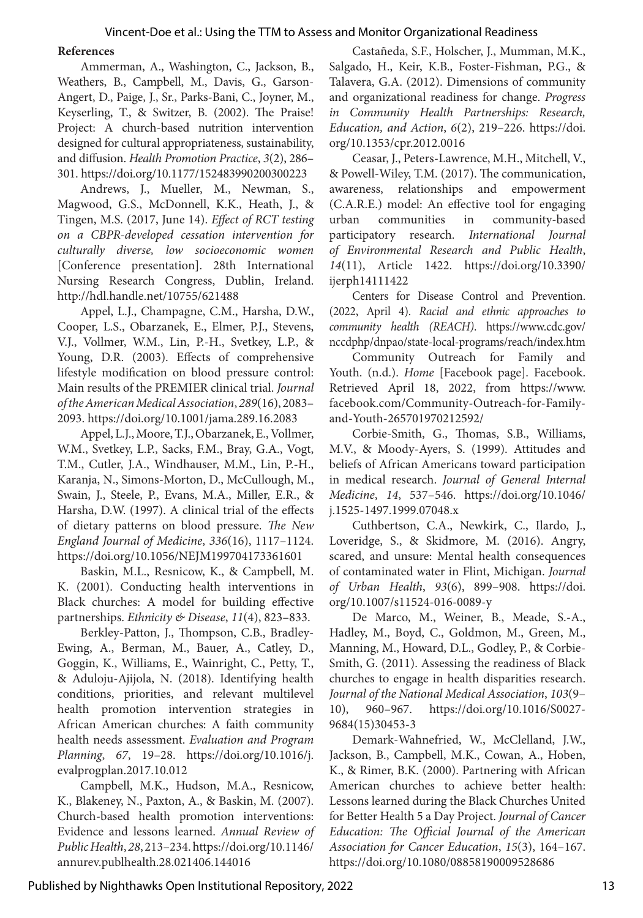#### **References**

Ammerman, A., Washington, C., Jackson, B., Weathers, B., Campbell, M., Davis, G., Garson-Angert, D., Paige, J., Sr., Parks-Bani, C., Joyner, M., Keyserling, T., & Switzer, B. (2002). The Praise! Project: A church-based nutrition intervention designed for cultural appropriateness, sustainability, and diffusion. *Health Promotion Practice*, *3*(2), 286– 301. https://doi.org/10.1177/152483990200300223

Andrews, J., Mueller, M., Newman, S., Magwood, G.S., McDonnell, K.K., Heath, J., & Tingen, M.S. (2017, June 14). *Effect of RCT testing on a CBPR-developed cessation intervention for culturally diverse, low socioeconomic women*  [Conference presentation]. 28th International Nursing Research Congress, Dublin, Ireland. http://hdl.handle.net/10755/621488

Appel, L.J., Champagne, C.M., Harsha, D.W., Cooper, L.S., Obarzanek, E., Elmer, P.J., Stevens, V.J., Vollmer, W.M., Lin, P.-H., Svetkey, L.P., & Young, D.R. (2003). Effects of comprehensive lifestyle modification on blood pressure control: Main results of the PREMIER clinical trial. *Journal of the American Medical Association*, *289*(16), 2083– 2093. https://doi.org/10.1001/jama.289.16.2083

Appel, L.J., Moore, T.J., Obarzanek, E., Vollmer, W.M., Svetkey, L.P., Sacks, F.M., Bray, G.A., Vogt, T.M., Cutler, J.A., Windhauser, M.M., Lin, P.-H., Karanja, N., Simons-Morton, D., McCullough, M., Swain, J., Steele, P., Evans, M.A., Miller, E.R., & Harsha, D.W. (1997). A clinical trial of the effects of dietary patterns on blood pressure. *The New England Journal of Medicine*, *336*(16), 1117–1124. https://doi.org/10.1056/NEJM199704173361601

Baskin, M.L., Resnicow, K., & Campbell, M. K. (2001). Conducting health interventions in Black churches: A model for building effective partnerships. *Ethnicity & Disease*, *11*(4), 823–833.

Berkley-Patton, J., Thompson, C.B., Bradley-Ewing, A., Berman, M., Bauer, A., Catley, D., Goggin, K., Williams, E., Wainright, C., Petty, T., & Aduloju-Ajijola, N. (2018). Identifying health conditions, priorities, and relevant multilevel health promotion intervention strategies in African American churches: A faith community health needs assessment. *Evaluation and Program Planning*, *67*, 19–28. https://doi.org/10.1016/j. evalprogplan.2017.10.012

Campbell, M.K., Hudson, M.A., Resnicow, K., Blakeney, N., Paxton, A., & Baskin, M. (2007). Church-based health promotion interventions: Evidence and lessons learned. *Annual Review of Public Health*, *28*, 213–234. https://doi.org/10.1146/ annurev.publhealth.28.021406.144016

Castañeda, S.F., Holscher, J., Mumman, M.K., Salgado, H., Keir, K.B., Foster-Fishman, P.G., & Talavera, G.A. (2012). Dimensions of community and organizational readiness for change. *Progress in Community Health Partnerships: Research, Education, and Action*, *6*(2), 219–226. https://doi. org/10.1353/cpr.2012.0016

Ceasar, J., Peters-Lawrence, M.H., Mitchell, V., & Powell-Wiley, T.M. (2017). The communication, awareness, relationships and empowerment (C.A.R.E.) model: An effective tool for engaging urban communities in community-based participatory research. *International Journal of Environmental Research and Public Health*, *14*(11), Article 1422. https://doi.org/10.3390/ ijerph14111422

Centers for Disease Control and Prevention. (2022, April 4). *Racial and ethnic approaches to community health (REACH)*. https://www.cdc.gov/ nccdphp/dnpao/state-local-programs/reach/index.htm

Community Outreach for Family and Youth. (n.d.). *Home* [Facebook page]. Facebook. Retrieved April 18, 2022, from https://www. facebook.com/Community-Outreach-for-Familyand-Youth-265701970212592/

Corbie-Smith, G., Thomas, S.B., Williams, M.V., & Moody-Ayers, S. (1999). Attitudes and beliefs of African Americans toward participation in medical research. *Journal of General Internal Medicine*, *14*, 537–546. https://doi.org/10.1046/ j.1525-1497.1999.07048.x

Cuthbertson, C.A., Newkirk, C., Ilardo, J., Loveridge, S., & Skidmore, M. (2016). Angry, scared, and unsure: Mental health consequences of contaminated water in Flint, Michigan. *Journal of Urban Health*, *93*(6), 899–908. https://doi. org/10.1007/s11524-016-0089-y

De Marco, M., Weiner, B., Meade, S.-A., Hadley, M., Boyd, C., Goldmon, M., Green, M., Manning, M., Howard, D.L., Godley, P., & Corbie-Smith, G. (2011). Assessing the readiness of Black churches to engage in health disparities research. *Journal of the National Medical Association*, *103*(9– 10), 960–967. https://doi.org/10.1016/S0027- 9684(15)30453-3

Demark-Wahnefried, W., McClelland, J.W., Jackson, B., Campbell, M.K., Cowan, A., Hoben, K., & Rimer, B.K. (2000). Partnering with African American churches to achieve better health: Lessons learned during the Black Churches United for Better Health 5 a Day Project. *Journal of Cancer Education: The Official Journal of the American Association for Cancer Education*, *15*(3), 164–167. https://doi.org/10.1080/08858190009528686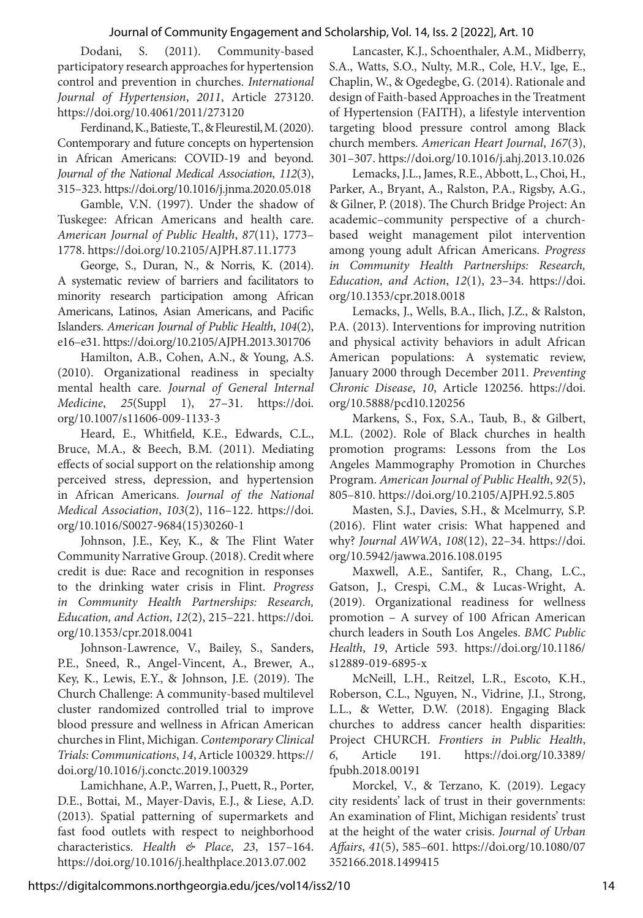Dodani, S. (2011). Community-based participatory research approaches for hypertension control and prevention in churches. *International Journal of Hypertension*, *2011*, Article 273120. https://doi.org/10.4061/2011/273120

Ferdinand, K., Batieste, T., & Fleurestil, M. (2020). Contemporary and future concepts on hypertension in African Americans: COVID-19 and beyond. *Journal of the National Medical Association*, *112*(3), 315–323. https://doi.org/10.1016/j.jnma.2020.05.018

Gamble, V.N. (1997). Under the shadow of Tuskegee: African Americans and health care. *American Journal of Public Health*, *87*(11), 1773– 1778. https://doi.org/10.2105/AJPH.87.11.1773

George, S., Duran, N., & Norris, K. (2014). A systematic review of barriers and facilitators to minority research participation among African Americans, Latinos, Asian Americans, and Pacific Islanders. *American Journal of Public Health*, *104*(2), e16–e31. https://doi.org/10.2105/AJPH.2013.301706

Hamilton, A.B., Cohen, A.N., & Young, A.S. (2010). Organizational readiness in specialty mental health care. *Journal of General Internal Medicine*, *25*(Suppl 1), 27–31. https://doi. org/10.1007/s11606-009-1133-3

Heard, E., Whitfield, K.E., Edwards, C.L., Bruce, M.A., & Beech, B.M. (2011). Mediating effects of social support on the relationship among perceived stress, depression, and hypertension in African Americans. *Journal of the National Medical Association*, *103*(2), 116–122. https://doi. org/10.1016/S0027-9684(15)30260-1

Johnson, J.E., Key, K., & The Flint Water Community Narrative Group. (2018). Credit where credit is due: Race and recognition in responses to the drinking water crisis in Flint. *Progress in Community Health Partnerships: Research, Education, and Action*, *12*(2), 215–221. https://doi. org/10.1353/cpr.2018.0041

Johnson-Lawrence, V., Bailey, S., Sanders, P.E., Sneed, R., Angel-Vincent, A., Brewer, A., Key, K., Lewis, E.Y., & Johnson, J.E. (2019). The Church Challenge: A community-based multilevel cluster randomized controlled trial to improve blood pressure and wellness in African American churches in Flint, Michigan. *Contemporary Clinical Trials: Communications*, *14*, Article 100329. https:// doi.org/10.1016/j.conctc.2019.100329

Lamichhane, A.P., Warren, J., Puett, R., Porter, D.E., Bottai, M., Mayer-Davis, E.J., & Liese, A.D. (2013). Spatial patterning of supermarkets and fast food outlets with respect to neighborhood characteristics. *Health & Place*, *23*, 157–164. https://doi.org/10.1016/j.healthplace.2013.07.002

Lancaster, K.J., Schoenthaler, A.M., Midberry, S.A., Watts, S.O., Nulty, M.R., Cole, H.V., Ige, E., Chaplin, W., & Ogedegbe, G. (2014). Rationale and design of Faith-based Approaches in the Treatment of Hypertension (FAITH), a lifestyle intervention targeting blood pressure control among Black church members. *American Heart Journal*, *167*(3), 301–307. https://doi.org/10.1016/j.ahj.2013.10.026

Lemacks, J.L., James, R.E., Abbott, L., Choi, H., Parker, A., Bryant, A., Ralston, P.A., Rigsby, A.G., & Gilner, P. (2018). The Church Bridge Project: An academic–community perspective of a churchbased weight management pilot intervention among young adult African Americans. *Progress in Community Health Partnerships: Research, Education, and Action*, *12*(1), 23–34. https://doi. org/10.1353/cpr.2018.0018

Lemacks, J., Wells, B.A., Ilich, J.Z., & Ralston, P.A. (2013). Interventions for improving nutrition and physical activity behaviors in adult African American populations: A systematic review, January 2000 through December 2011. *Preventing Chronic Disease*, *10*, Article 120256. https://doi. org/10.5888/pcd10.120256

Markens, S., Fox, S.A., Taub, B., & Gilbert, M.L. (2002). Role of Black churches in health promotion programs: Lessons from the Los Angeles Mammography Promotion in Churches Program. *American Journal of Public Health*, *92*(5), 805–810. https://doi.org/10.2105/AJPH.92.5.805

Masten, S.J., Davies, S.H., & Mcelmurry, S.P. (2016). Flint water crisis: What happened and why? *Journal AWWA*, *108*(12), 22–34. https://doi. org/10.5942/jawwa.2016.108.0195

Maxwell, A.E., Santifer, R., Chang, L.C., Gatson, J., Crespi, C.M., & Lucas-Wright, A. (2019). Organizational readiness for wellness promotion – A survey of 100 African American church leaders in South Los Angeles. *BMC Public Health*, *19*, Article 593. https://doi.org/10.1186/ s12889-019-6895-x

McNeill, L.H., Reitzel, L.R., Escoto, K.H., Roberson, C.L., Nguyen, N., Vidrine, J.I., Strong, L.L., & Wetter, D.W. (2018). Engaging Black churches to address cancer health disparities: Project CHURCH. *Frontiers in Public Health*, *6*, Article 191. https://doi.org/10.3389/ fpubh.2018.00191

Morckel, V., & Terzano, K. (2019). Legacy city residents' lack of trust in their governments: An examination of Flint, Michigan residents' trust at the height of the water crisis. *Journal of Urban Affairs*, *41*(5), 585–601. https://doi.org/10.1080/07 352166.2018.1499415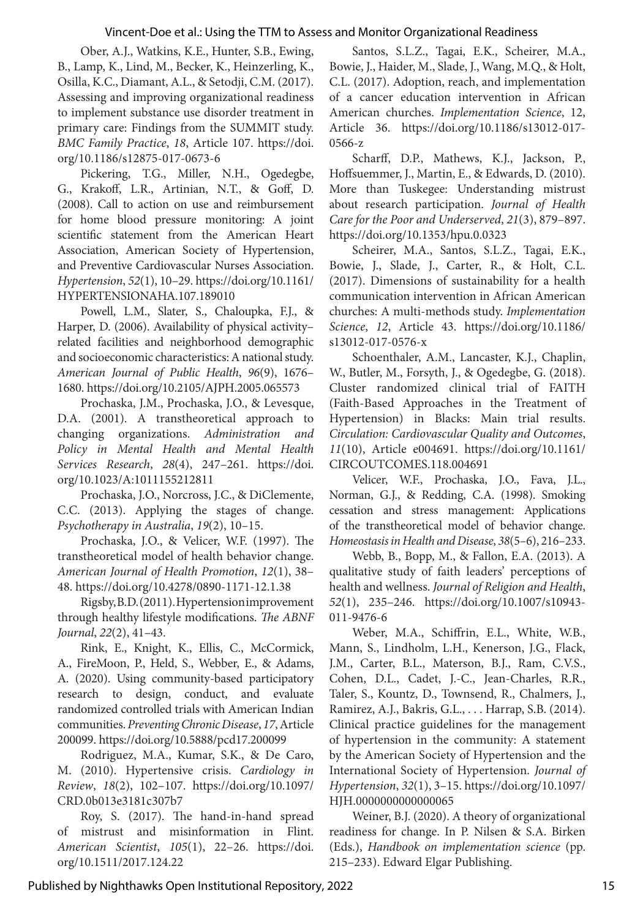Ober, A.J., Watkins, K.E., Hunter, S.B., Ewing, B., Lamp, K., Lind, M., Becker, K., Heinzerling, K., Osilla, K.C., Diamant, A.L., & Setodji, C.M. (2017). Assessing and improving organizational readiness to implement substance use disorder treatment in primary care: Findings from the SUMMIT study. *BMC Family Practice*, *18*, Article 107. https://doi. org/10.1186/s12875-017-0673-6

Pickering, T.G., Miller, N.H., Ogedegbe, G., Krakoff, L.R., Artinian, N.T., & Goff, D. (2008). Call to action on use and reimbursement for home blood pressure monitoring: A joint scientific statement from the American Heart Association, American Society of Hypertension, and Preventive Cardiovascular Nurses Association. *Hypertension*, *52*(1), 10–29. https://doi.org/10.1161/ HYPERTENSIONAHA.107.189010

Powell, L.M., Slater, S., Chaloupka, F.J., & Harper, D. (2006). Availability of physical activity– related facilities and neighborhood demographic and socioeconomic characteristics: A national study. *American Journal of Public Health*, *96*(9), 1676– 1680. https://doi.org/10.2105/AJPH.2005.065573

Prochaska, J.M., Prochaska, J.O., & Levesque, D.A. (2001). A transtheoretical approach to changing organizations. *Administration and Policy in Mental Health and Mental Health Services Research*, *28*(4), 247–261. https://doi. org/10.1023/A:1011155212811

Prochaska, J.O., Norcross, J.C., & DiClemente, C.C. (2013). Applying the stages of change. *Psychotherapy in Australia*, *19*(2), 10–15.

Prochaska, J.O., & Velicer, W.F. (1997). The transtheoretical model of health behavior change. *American Journal of Health Promotion*, *12*(1), 38– 48. https://doi.org/10.4278/0890-1171-12.1.38

Rigsby, B.D. (2011). Hypertension improvement through healthy lifestyle modifications. *The ABNF Journal*, *22*(2), 41–43.

Rink, E., Knight, K., Ellis, C., McCormick, A., FireMoon, P., Held, S., Webber, E., & Adams, A. (2020). Using community-based participatory research to design, conduct, and evaluate randomized controlled trials with American Indian communities. *Preventing Chronic Disease*, *17*, Article 200099. https://doi.org/10.5888/pcd17.200099

Rodriguez, M.A., Kumar, S.K., & De Caro, M. (2010). Hypertensive crisis. *Cardiology in Review*, *18*(2), 102–107. https://doi.org/10.1097/ CRD.0b013e3181c307b7

Roy, S. (2017). The hand-in-hand spread of mistrust and misinformation in Flint. *American Scientist*, *105*(1), 22–26. https://doi. org/10.1511/2017.124.22

Santos, S.L.Z., Tagai, E.K., Scheirer, M.A., Bowie, J., Haider, M., Slade, J., Wang, M.Q., & Holt, C.L. (2017). Adoption, reach, and implementation of a cancer education intervention in African American churches. *Implementation Science*, 12, Article 36. https://doi.org/10.1186/s13012-017- 0566-z

Scharff, D.P., Mathews, K.J., Jackson, P., Hoffsuemmer, J., Martin, E., & Edwards, D. (2010). More than Tuskegee: Understanding mistrust about research participation. *Journal of Health Care for the Poor and Underserved*, *21*(3), 879–897. https://doi.org/10.1353/hpu.0.0323

Scheirer, M.A., Santos, S.L.Z., Tagai, E.K., Bowie, J., Slade, J., Carter, R., & Holt, C.L. (2017). Dimensions of sustainability for a health communication intervention in African American churches: A multi-methods study. *Implementation Science*, *12*, Article 43. https://doi.org/10.1186/ s13012-017-0576-x

Schoenthaler, A.M., Lancaster, K.J., Chaplin, W., Butler, M., Forsyth, J., & Ogedegbe, G. (2018). Cluster randomized clinical trial of FAITH (Faith-Based Approaches in the Treatment of Hypertension) in Blacks: Main trial results. *Circulation: Cardiovascular Quality and Outcomes*, *11*(10), Article e004691. https://doi.org/10.1161/ CIRCOUTCOMES.118.004691

Velicer, W.F., Prochaska, J.O., Fava, J.L., Norman, G.J., & Redding, C.A. (1998). Smoking cessation and stress management: Applications of the transtheoretical model of behavior change. *Homeostasis in Health and Disease*, *38*(5–6), 216–233.

Webb, B., Bopp, M., & Fallon, E.A. (2013). A qualitative study of faith leaders' perceptions of health and wellness. *Journal of Religion and Health*, *52*(1), 235–246. https://doi.org/10.1007/s10943- 011-9476-6

Weber, M.A., Schiffrin, E.L., White, W.B., Mann, S., Lindholm, L.H., Kenerson, J.G., Flack, J.M., Carter, B.L., Materson, B.J., Ram, C.V.S., Cohen, D.L., Cadet, J.-C., Jean-Charles, R.R., Taler, S., Kountz, D., Townsend, R., Chalmers, J., Ramirez, A.J., Bakris, G.L., . . . Harrap, S.B. (2014). Clinical practice guidelines for the management of hypertension in the community: A statement by the American Society of Hypertension and the International Society of Hypertension. *Journal of Hypertension*, *32*(1), 3–15. https://doi.org/10.1097/ HJH.0000000000000065

Weiner, B.J. (2020). A theory of organizational readiness for change. In P. Nilsen & S.A. Birken (Eds.), *Handbook on implementation science* (pp. 215–233). Edward Elgar Publishing.